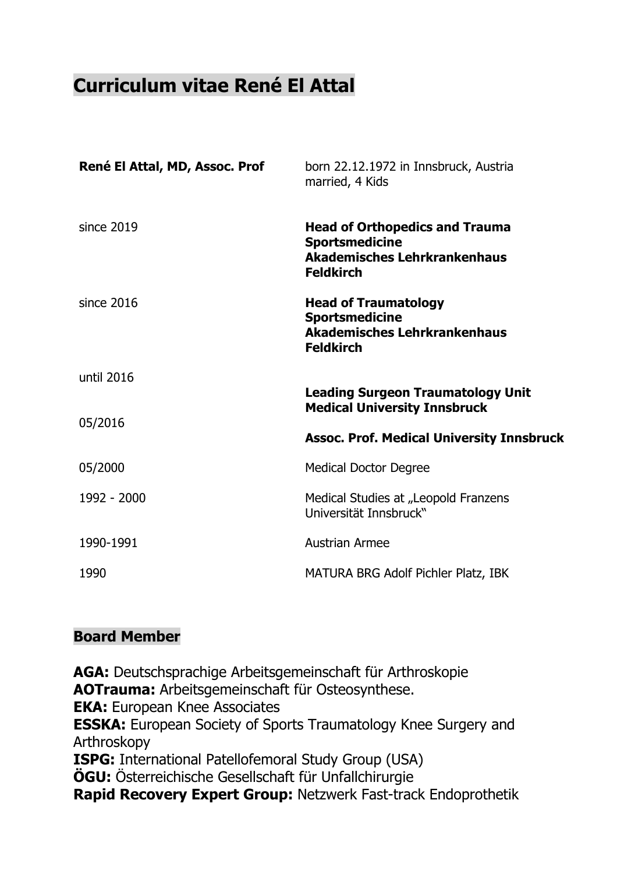# **Curriculum vitae René El Attal**

| René El Attal, MD, Assoc. Prof | born 22.12.1972 in Innsbruck, Austria<br>married, 4 Kids                                                                  |
|--------------------------------|---------------------------------------------------------------------------------------------------------------------------|
| since 2019                     | <b>Head of Orthopedics and Trauma</b><br><b>Sportsmedicine</b><br><b>Akademisches Lehrkrankenhaus</b><br><b>Feldkirch</b> |
| since 2016                     | <b>Head of Traumatology</b><br><b>Sportsmedicine</b><br><b>Akademisches Lehrkrankenhaus</b><br><b>Feldkirch</b>           |
| until 2016                     |                                                                                                                           |
| 05/2016                        | <b>Leading Surgeon Traumatology Unit</b><br><b>Medical University Innsbruck</b>                                           |
|                                | <b>Assoc. Prof. Medical University Innsbruck</b>                                                                          |
| 05/2000                        | <b>Medical Doctor Degree</b>                                                                                              |
| 1992 - 2000                    | Medical Studies at "Leopold Franzens<br>Universität Innsbruck"                                                            |
| 1990-1991                      | <b>Austrian Armee</b>                                                                                                     |
| 1990                           | MATURA BRG Adolf Pichler Platz, IBK                                                                                       |

# **Board Member**

**AGA:** Deutschsprachige Arbeitsgemeinschaft für Arthroskopie **AOTrauma:** Arbeitsgemeinschaft für Osteosynthese. **EKA:** European Knee Associates **ESSKA:** European Society of Sports Traumatology Knee Surgery and Arthroskopy **ISPG:** International Patellofemoral Study Group (USA) **ÖGU:** Österreichische Gesellschaft für Unfallchirurgie **Rapid Recovery Expert Group:** Netzwerk Fast-track Endoprothetik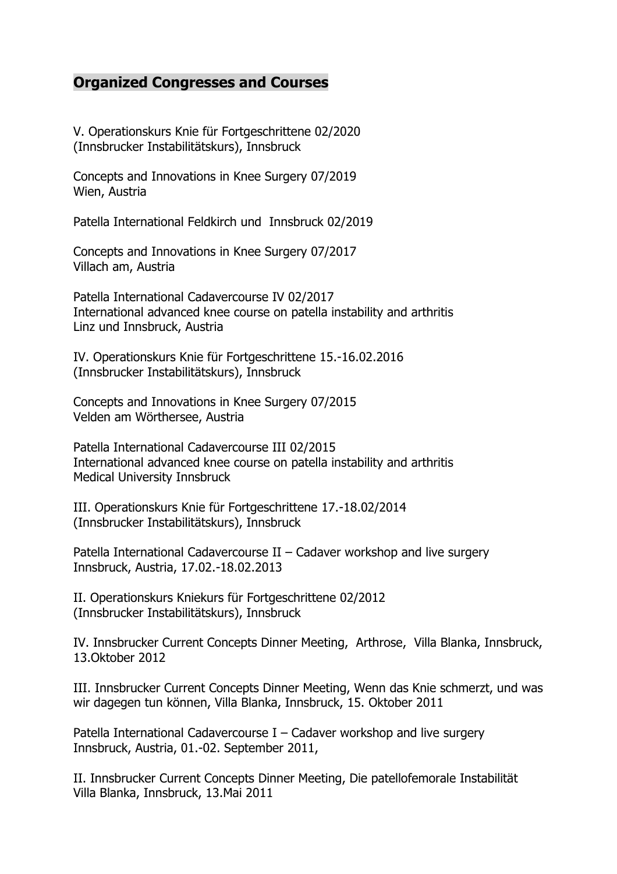# **Organized Congresses and Courses**

V. Operationskurs Knie für Fortgeschrittene 02/2020 (Innsbrucker Instabilitätskurs), Innsbruck

Concepts and Innovations in Knee Surgery 07/2019 Wien, Austria

Patella International Feldkirch und Innsbruck 02/2019

Concepts and Innovations in Knee Surgery 07/2017 Villach am, Austria

Patella International Cadavercourse IV 02/2017 International advanced knee course on patella instability and arthritis Linz und Innsbruck, Austria

IV. Operationskurs Knie für Fortgeschrittene 15.-16.02.2016 (Innsbrucker Instabilitätskurs), Innsbruck

Concepts and Innovations in Knee Surgery 07/2015 Velden am Wörthersee, Austria

Patella International Cadavercourse III 02/2015 International advanced knee course on patella instability and arthritis Medical University Innsbruck

III. Operationskurs Knie für Fortgeschrittene 17.-18.02/2014 (Innsbrucker Instabilitätskurs), Innsbruck

Patella International Cadavercourse II – Cadaver workshop and live surgery Innsbruck, Austria, 17.02.-18.02.2013

II. Operationskurs Kniekurs für Fortgeschrittene 02/2012 (Innsbrucker Instabilitätskurs), Innsbruck

IV. Innsbrucker Current Concepts Dinner Meeting, Arthrose, Villa Blanka, Innsbruck, 13.Oktober 2012

III. Innsbrucker Current Concepts Dinner Meeting, Wenn das Knie schmerzt, und was wir dagegen tun können, Villa Blanka, Innsbruck, 15. Oktober 2011

Patella International Cadavercourse I – Cadaver workshop and live surgery Innsbruck, Austria, 01.-02. September 2011,

II. Innsbrucker Current Concepts Dinner Meeting, Die patellofemorale Instabilität Villa Blanka, Innsbruck, 13.Mai 2011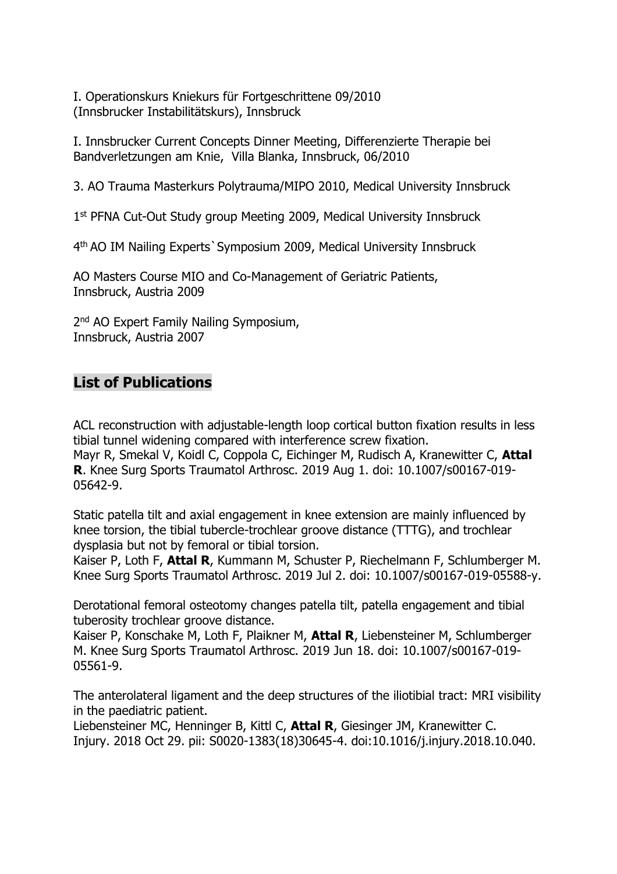I. Operationskurs Kniekurs für Fortgeschrittene 09/2010 (Innsbrucker Instabilitätskurs), Innsbruck

I. Innsbrucker Current Concepts Dinner Meeting, Differenzierte Therapie bei Bandverletzungen am Knie, Villa Blanka, Innsbruck, 06/2010

3. AO Trauma Masterkurs Polytrauma/MIPO 2010, Medical University Innsbruck

1 st PFNA Cut-Out Study group Meeting 2009, Medical University Innsbruck

4 th AO IM Nailing Experts`Symposium 2009, Medical University Innsbruck

AO Masters Course MIO and Co-Management of Geriatric Patients, Innsbruck, Austria 2009

2 nd AO Expert Family Nailing Symposium, Innsbruck, Austria 2007

# **List of Publications**

[ACL reconstruction with adjustable-length loop cortical button fixation results in less](https://www.ncbi.nlm.nih.gov/pubmed/31372680)  [tibial tunnel widening compared with interference screw fixation.](https://www.ncbi.nlm.nih.gov/pubmed/31372680) Mayr R, Smekal V, Koidl C, Coppola C, Eichinger M, Rudisch A, Kranewitter C, **Attal R**. Knee Surg Sports Traumatol Arthrosc. 2019 Aug 1. doi: 10.1007/s00167-019- 05642-9.

[Static patella tilt and axial engagement in knee extension are mainly influenced by](https://www.ncbi.nlm.nih.gov/pubmed/31267191)  [knee torsion, the tibial tubercle-trochlear groove distance \(TTTG\), and trochlear](https://www.ncbi.nlm.nih.gov/pubmed/31267191)  [dysplasia but not by femoral or tibial torsion.](https://www.ncbi.nlm.nih.gov/pubmed/31267191)

Kaiser P, Loth F, **Attal R**, Kummann M, Schuster P, Riechelmann F, Schlumberger M. Knee Surg Sports Traumatol Arthrosc. 2019 Jul 2. doi: 10.1007/s00167-019-05588-y.

[Derotational femoral osteotomy changes patella tilt, patella engagement and tibial](https://www.ncbi.nlm.nih.gov/pubmed/31214737)  [tuberosity trochlear groove](https://www.ncbi.nlm.nih.gov/pubmed/31214737) distance.

Kaiser P, Konschake M, Loth F, Plaikner M, **Attal R**, Liebensteiner M, Schlumberger M. Knee Surg Sports Traumatol Arthrosc. 2019 Jun 18. doi: 10.1007/s00167-019- 05561-9.

[The anterolateral ligament and the deep structures of the iliotibial tract: MRI visibility](https://www.ncbi.nlm.nih.gov/pubmed/30391071)  [in the paediatric patient.](https://www.ncbi.nlm.nih.gov/pubmed/30391071)

Liebensteiner MC, Henninger B, Kittl C, **Attal R**, Giesinger JM, Kranewitter C. Injury. 2018 Oct 29. pii: S0020-1383(18)30645-4. doi:10.1016/j.injury.2018.10.040.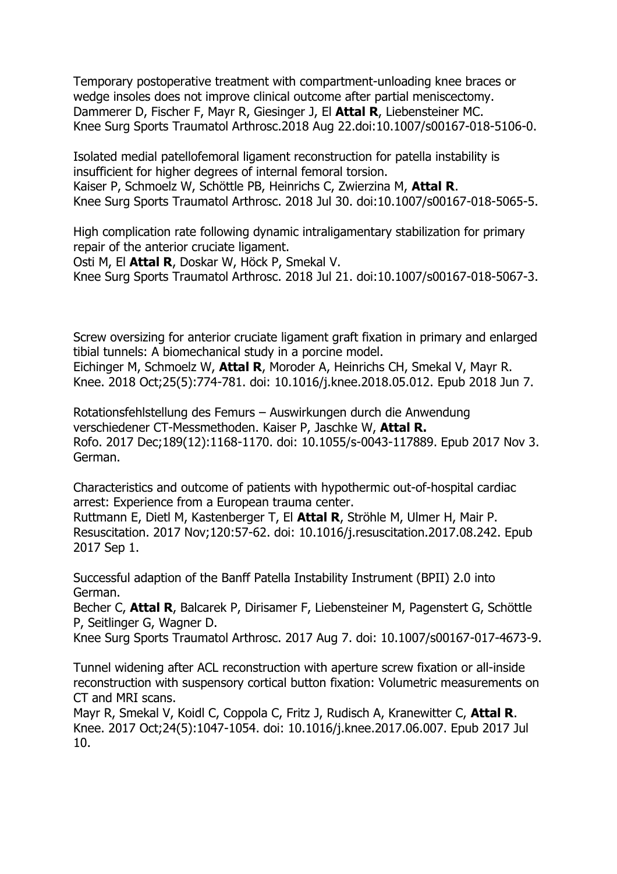[Temporary postoperative treatment with compartment-unloading knee braces or](https://www.ncbi.nlm.nih.gov/pubmed/30159739)  [wedge insoles does not improve clinical outcome after partial meniscectomy.](https://www.ncbi.nlm.nih.gov/pubmed/30159739) Dammerer D, Fischer F, Mayr R, Giesinger J, El **Attal R**, Liebensteiner MC. Knee Surg Sports Traumatol Arthrosc.2018 Aug 22.doi:10.1007/s00167-018-5106-0.

[Isolated medial patellofemoral ligament reconstruction for patella instability is](https://www.ncbi.nlm.nih.gov/pubmed/30062643)  [insufficient for higher degrees of internal femoral torsion.](https://www.ncbi.nlm.nih.gov/pubmed/30062643) Kaiser P, Schmoelz W, Schöttle PB, Heinrichs C, Zwierzina M, **Attal R**. Knee Surg Sports Traumatol Arthrosc. 2018 Jul 30. doi:10.1007/s00167-018-5065-5.

[High complication rate following dynamic intraligamentary stabilization for primary](https://www.ncbi.nlm.nih.gov/pubmed/30032314)  [repair of the anterior cruciate ligament.](https://www.ncbi.nlm.nih.gov/pubmed/30032314) Osti M, El **Attal R**, Doskar W, Höck P, Smekal V.

Knee Surg Sports Traumatol Arthrosc. 2018 Jul 21. doi:10.1007/s00167-018-5067-3.

[Screw oversizing for anterior cruciate ligament graft fixation in primary and enlarged](https://www.ncbi.nlm.nih.gov/pubmed/29887246)  [tibial tunnels: A biomechanical study in a porcine model.](https://www.ncbi.nlm.nih.gov/pubmed/29887246) Eichinger M, Schmoelz W, **Attal R**, Moroder A, Heinrichs CH, Smekal V, Mayr R. Knee. 2018 Oct;25(5):774-781. doi: 10.1016/j.knee.2018.05.012. Epub 2018 Jun 7.

Rotationsfehlstellung des Femurs – [Auswirkungen durch die Anwendung](https://www.ncbi.nlm.nih.gov/pubmed/29100257)  [verschiedener CT-Messmethoden.](https://www.ncbi.nlm.nih.gov/pubmed/29100257) Kaiser P, Jaschke W, **Attal R.** Rofo. 2017 Dec;189(12):1168-1170. doi: 10.1055/s-0043-117889. Epub 2017 Nov 3. German.

[Characteristics and outcome of patients with hypothermic out-of-hospital cardiac](https://www.ncbi.nlm.nih.gov/pubmed/28866108)  [arrest: Experience from a European trauma center.](https://www.ncbi.nlm.nih.gov/pubmed/28866108)

Ruttmann E, Dietl M, Kastenberger T, El **Attal R**, Ströhle M, Ulmer H, Mair P. Resuscitation. 2017 Nov;120:57-62. doi: 10.1016/j.resuscitation.2017.08.242. Epub 2017 Sep 1.

[Successful adaption of the Banff Patella Instability Instrument \(BPII\) 2.0 into](https://www.ncbi.nlm.nih.gov/pubmed/28785790)  [German.](https://www.ncbi.nlm.nih.gov/pubmed/28785790)

Becher C, **Attal R**, Balcarek P, Dirisamer F, Liebensteiner M, Pagenstert G, Schöttle P, Seitlinger G, Wagner D.

Knee Surg Sports Traumatol Arthrosc. 2017 Aug 7. doi: 10.1007/s00167-017-4673-9.

[Tunnel widening after ACL reconstruction with aperture screw fixation or all-inside](https://www.ncbi.nlm.nih.gov/pubmed/28705571)  [reconstruction with suspensory cortical button fixation: Volumetric measurements on](https://www.ncbi.nlm.nih.gov/pubmed/28705571)  [CT and MRI scans.](https://www.ncbi.nlm.nih.gov/pubmed/28705571)

Mayr R, Smekal V, Koidl C, Coppola C, Fritz J, Rudisch A, Kranewitter C, **Attal R**. Knee. 2017 Oct;24(5):1047-1054. doi: 10.1016/j.knee.2017.06.007. Epub 2017 Jul 10.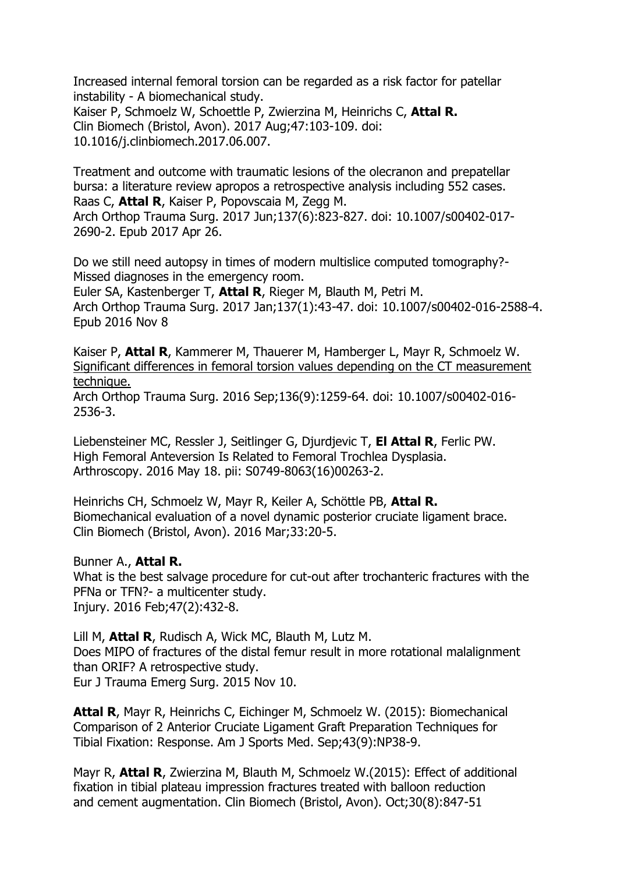[Increased internal femoral torsion can be regarded as a risk factor for patellar](https://www.ncbi.nlm.nih.gov/pubmed/28628800)  instability - [A biomechanical study.](https://www.ncbi.nlm.nih.gov/pubmed/28628800) Kaiser P, Schmoelz W, Schoettle P, Zwierzina M, Heinrichs C, **Attal R.** Clin Biomech (Bristol, Avon). 2017 Aug;47:103-109. doi: 10.1016/j.clinbiomech.2017.06.007.

[Treatment and outcome with traumatic lesions of the olecranon and prepatellar](https://www.ncbi.nlm.nih.gov/pubmed/28447166)  [bursa: a literature review apropos a retrospective analysis including 552 cases.](https://www.ncbi.nlm.nih.gov/pubmed/28447166) Raas C, **Attal R**, Kaiser P, Popovscaia M, Zegg M. Arch Orthop Trauma Surg. 2017 Jun;137(6):823-827. doi: 10.1007/s00402-017- 2690-2. Epub 2017 Apr 26.

[Do we still need autopsy in times of modern multislice computed tomography?-](https://www.ncbi.nlm.nih.gov/pubmed/27826651) [Missed diagnoses in the emergency room.](https://www.ncbi.nlm.nih.gov/pubmed/27826651)

Euler SA, Kastenberger T, **Attal R**, Rieger M, Blauth M, Petri M. Arch Orthop Trauma Surg. 2017 Jan;137(1):43-47. doi: 10.1007/s00402-016-2588-4. Epub 2016 Nov 8

Kaiser P, **Attal R**, Kammerer M, Thauerer M, Hamberger L, Mayr R, Schmoelz W. [Significant differences in femoral torsion values depending on the CT measurement](http://www.ncbi.nlm.nih.gov/pubmed/27501703)  [technique.](http://www.ncbi.nlm.nih.gov/pubmed/27501703)

Arch Orthop Trauma Surg. 2016 Sep;136(9):1259-64. doi: 10.1007/s00402-016- 2536-3.

Liebensteiner MC, Ressler J, Seitlinger G, Djurdjevic T, **El Attal R**, Ferlic PW. High Femoral Anteversion Is Related to Femoral Trochlea Dysplasia. Arthroscopy. 2016 May 18. pii: S0749-8063(16)00263-2.

Heinrichs CH, Schmoelz W, Mayr R, Keiler A, Schöttle PB, **Attal R.** Biomechanical evaluation of a novel dynamic posterior cruciate ligament brace. Clin Biomech (Bristol, Avon). 2016 Mar;33:20-5.

#### Bunner A., **Attal R.**

What is the best salvage procedure for cut-out after trochanteric fractures with the PFNa or TFN?- a multicenter study. Injury. 2016 Feb;47(2):432-8.

Lill M, **Attal R**, Rudisch A, Wick MC, Blauth M, Lutz M. Does MIPO of fractures of the distal femur result in more rotational malalignment than ORIF? A retrospective study. Eur J Trauma Emerg Surg. 2015 Nov 10.

**Attal R**, Mayr R, Heinrichs C, Eichinger M, Schmoelz W. (2015): Biomechanical Comparison of 2 Anterior Cruciate Ligament Graft Preparation Techniques for Tibial Fixation: Response. Am J Sports Med. Sep;43(9):NP38-9.

Mayr R, **Attal R**, Zwierzina M, Blauth M, Schmoelz W.(2015): Effect of additional fixation in tibial plateau impression fractures treated with balloon reduction and cement augmentation. Clin Biomech (Bristol, Avon). Oct;30(8):847-51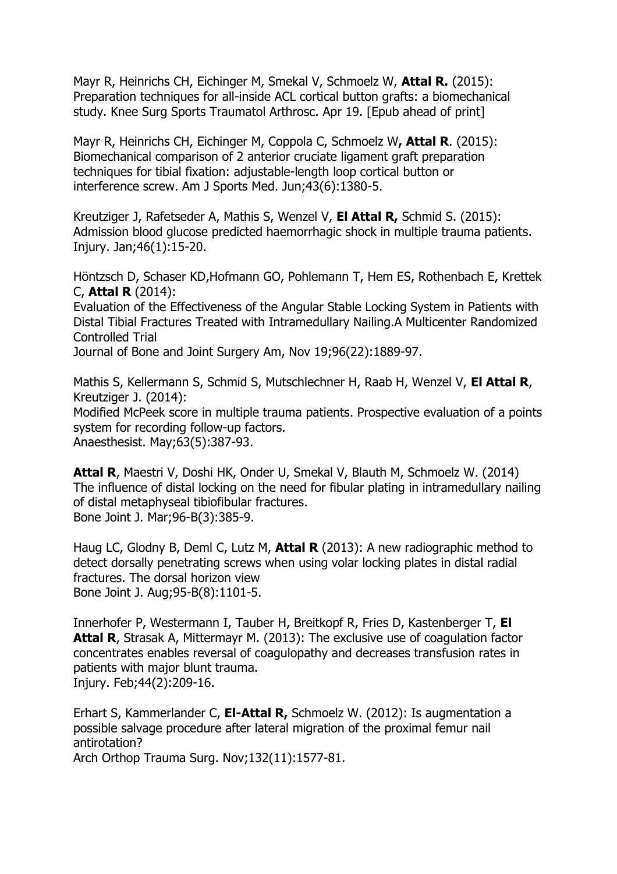Mayr R, Heinrichs CH, Eichinger M, Smekal V, Schmoelz W, **Attal R.** (2015): Preparation techniques for all-inside ACL cortical button grafts: a biomechanical study. Knee Surg Sports Traumatol Arthrosc. Apr 19. [Epub ahead of print]

Mayr R, Heinrichs CH, Eichinger M, Coppola C, Schmoelz W**, Attal R**. (2015): Biomechanical comparison of 2 anterior cruciate ligament graft preparation techniques for tibial fixation: adjustable-length loop cortical button or interference screw. Am J Sports Med. Jun;43(6):1380-5.

Kreutziger J, Rafetseder A, Mathis S, Wenzel V, **El Attal R,** Schmid S. (2015): Admission blood glucose predicted haemorrhagic shock in multiple trauma patients. Injury. Jan;46(1):15-20.

Höntzsch D, Schaser KD,Hofmann GO, Pohlemann T, Hem ES, Rothenbach E, Krettek C, **Attal R** (2014):

Evaluation of the Effectiveness of the Angular Stable Locking System in Patients with Distal Tibial Fractures Treated with Intramedullary Nailing.A Multicenter Randomized Controlled Trial

Journal of Bone and Joint Surgery Am, Nov 19;96(22):1889-97.

Mathis S, Kellermann S, Schmid S, Mutschlechner H, Raab H, Wenzel V, **El Attal R**, Kreutziger J. (2014):

Modified McPeek score in multiple trauma patients. Prospective evaluation of a points system for recording follow-up factors.

Anaesthesist. May;63(5):387-93.

**Attal R**, Maestri V, Doshi HK, Onder U, Smekal V, Blauth M, Schmoelz W. (2014) The influence of distal locking on the need for fibular plating in intramedullary nailing of distal metaphyseal tibiofibular fractures. Bone Joint J. Mar;96-B(3):385-9.

Haug LC, Glodny B, Deml C, Lutz M, **Attal R** (2013): A new radiographic method to detect dorsally penetrating screws when using volar locking plates in distal radial fractures. The dorsal horizon view Bone Joint J. Aug;95-B(8):1101-5.

Innerhofer P, Westermann I, Tauber H, Breitkopf R, Fries D, Kastenberger T, **El Attal R**, Strasak A, Mittermayr M. (2013): The exclusive use of coagulation factor concentrates enables reversal of coagulopathy and decreases transfusion rates in patients with major blunt trauma. Injury. Feb;44(2):209-16.

Erhart S, Kammerlander C, **El-Attal R,** Schmoelz W. (2012): Is augmentation a possible salvage procedure after lateral migration of the proximal femur nail antirotation?

Arch Orthop Trauma Surg. Nov;132(11):1577-81.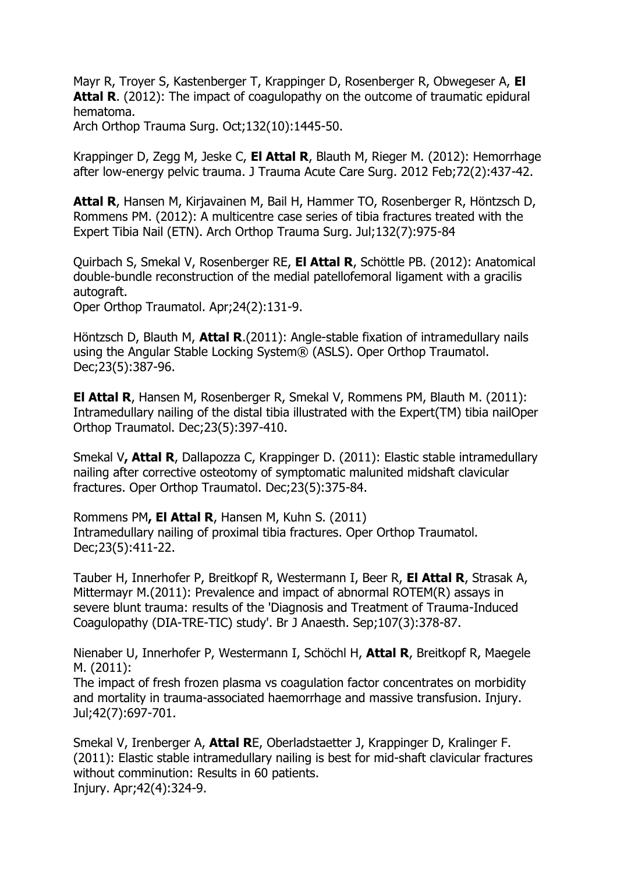Mayr R, Troyer S, Kastenberger T, Krappinger D, Rosenberger R, Obwegeser A, **El**  Attal R. (2012): The impact of coagulopathy on the outcome of traumatic epidural hematoma.

Arch Orthop Trauma Surg. Oct;132(10):1445-50.

Krappinger D, Zegg M, Jeske C, **El Attal R**, Blauth M, Rieger M. (2012): Hemorrhage after low-energy pelvic trauma. J Trauma Acute Care Surg. 2012 Feb;72(2):437-42.

**Attal R**, Hansen M, Kirjavainen M, Bail H, Hammer TO, Rosenberger R, Höntzsch D, Rommens PM. (2012): A multicentre case series of tibia fractures treated with the Expert Tibia Nail (ETN). Arch Orthop Trauma Surg. Jul;132(7):975-84

Quirbach S, Smekal V, Rosenberger RE, **El Attal R**, Schöttle PB. (2012): Anatomical double-bundle reconstruction of the medial patellofemoral ligament with a gracilis autograft.

Oper Orthop Traumatol. Apr;24(2):131-9.

Höntzsch D, Blauth M, **Attal R**.(2011): Angle-stable fixation of intramedullary nails using the Angular Stable Locking System® (ASLS). Oper Orthop Traumatol. Dec;23(5):387-96.

**El Attal R**, Hansen M, Rosenberger R, Smekal V, Rommens PM, Blauth M. (2011): Intramedullary nailing of the distal tibia illustrated with the Expert(TM) tibia nailOper Orthop Traumatol. Dec;23(5):397-410.

Smekal V**, Attal R**, Dallapozza C, Krappinger D. (2011): Elastic stable intramedullary nailing after corrective osteotomy of symptomatic malunited midshaft clavicular fractures. Oper Orthop Traumatol. Dec;23(5):375-84.

Rommens PM**, El Attal R**, Hansen M, Kuhn S. (2011) Intramedullary nailing of proximal tibia fractures. Oper Orthop Traumatol. Dec;23(5):411-22.

Tauber H, Innerhofer P, Breitkopf R, Westermann I, Beer R, **El Attal R**, Strasak A, Mittermayr M.(2011): Prevalence and impact of abnormal ROTEM(R) assays in severe blunt trauma: results of the 'Diagnosis and Treatment of Trauma-Induced Coagulopathy (DIA-TRE-TIC) study'. Br J Anaesth. Sep;107(3):378-87.

Nienaber U, Innerhofer P, Westermann I, Schöchl H, **Attal R**, Breitkopf R, Maegele M. (2011):

The impact of fresh frozen plasma vs coagulation factor concentrates on morbidity and mortality in trauma-associated haemorrhage and massive transfusion. Injury. Jul;42(7):697-701.

Smekal V, Irenberger A, **Attal R**E, Oberladstaetter J, Krappinger D, Kralinger F. (2011): Elastic stable intramedullary nailing is best for mid-shaft clavicular fractures without comminution: Results in 60 patients. Injury. Apr;42(4):324-9.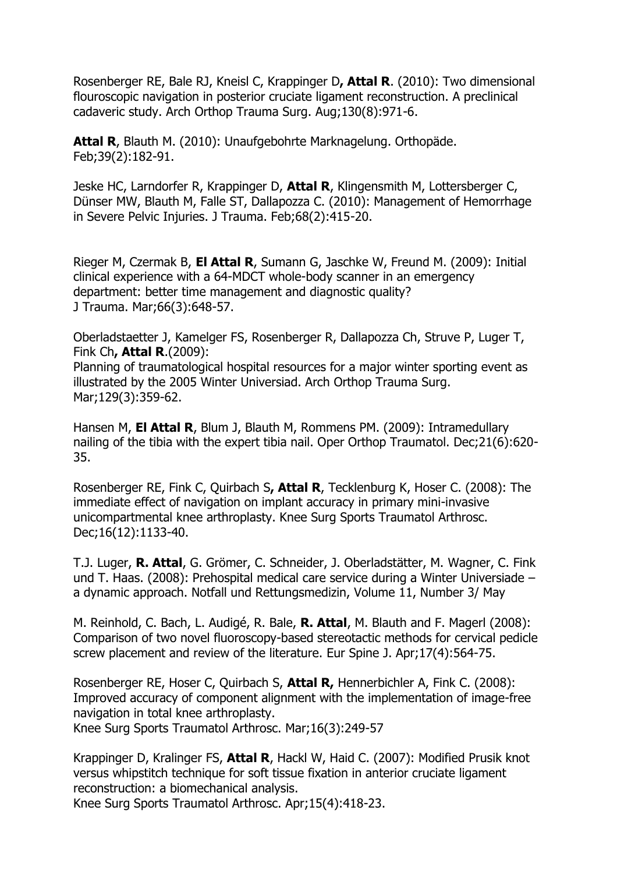Rosenberger RE, Bale RJ, Kneisl C, Krappinger D**, Attal R**. (2010): Two dimensional flouroscopic navigation in posterior cruciate ligament reconstruction. A preclinical cadaveric study. Arch Orthop Trauma Surg. Aug;130(8):971-6.

**Attal R**, Blauth M. (2010): Unaufgebohrte Marknagelung. Orthopäde. Feb;39(2):182-91.

Jeske HC, Larndorfer R, Krappinger D, **Attal R**, Klingensmith M, Lottersberger C, Dünser MW, Blauth M, Falle ST, Dallapozza C. (2010): Management of Hemorrhage in Severe Pelvic Injuries. J Trauma. Feb;68(2):415-20.

Rieger M, Czermak B, **El Attal R**, Sumann G, Jaschke W, Freund M. (2009): Initial clinical experience with a 64-MDCT whole-body scanner in an emergency department: better time management and diagnostic quality? J Trauma. Mar;66(3):648-57.

Oberladstaetter J, Kamelger FS, Rosenberger R, Dallapozza Ch, Struve P, Luger T, Fink Ch**, Attal R**.(2009): Planning of traumatological hospital resources for a major winter sporting event as illustrated by the 2005 Winter Universiad. Arch Orthop Trauma Surg.

Mar;129(3):359-62.

Hansen M, **El Attal R**, Blum J, Blauth M, Rommens PM. (2009): Intramedullary nailing of the tibia with the expert tibia nail. Oper Orthop Traumatol. Dec;21(6):620- 35.

Rosenberger RE, Fink C, Quirbach S**, Attal R**, Tecklenburg K, Hoser C. (2008): The immediate effect of navigation on implant accuracy in primary mini-invasive unicompartmental knee arthroplasty. Knee Surg Sports Traumatol Arthrosc. Dec;16(12):1133-40.

T.J. Luger, **R. Attal**, G. Grömer, C. Schneider, J. Oberladstätter, M. Wagner, C. Fink und T. Haas. (2008): Prehospital medical care service during a Winter Universiade – a dynamic approach. Notfall und Rettungsmedizin, Volume 11, Number 3/ May

M. Reinhold, C. Bach, L. Audigé, R. Bale, **R. Attal**, M. Blauth and F. Magerl (2008): Comparison of two novel fluoroscopy-based stereotactic methods for cervical pedicle screw placement and review of the literature. Eur Spine J. Apr;17(4):564-75.

Rosenberger RE, Hoser C, Quirbach S, **Attal R,** Hennerbichler A, Fink C. (2008): Improved accuracy of component alignment with the implementation of image-free navigation in total knee arthroplasty.

Knee Surg Sports Traumatol Arthrosc. Mar;16(3):249-57

Krappinger D, Kralinger FS, **Attal R**, Hackl W, Haid C. (2007): Modified Prusik knot versus whipstitch technique for soft tissue fixation in anterior cruciate ligament reconstruction: a biomechanical analysis.

Knee Surg Sports Traumatol Arthrosc. Apr;15(4):418-23.